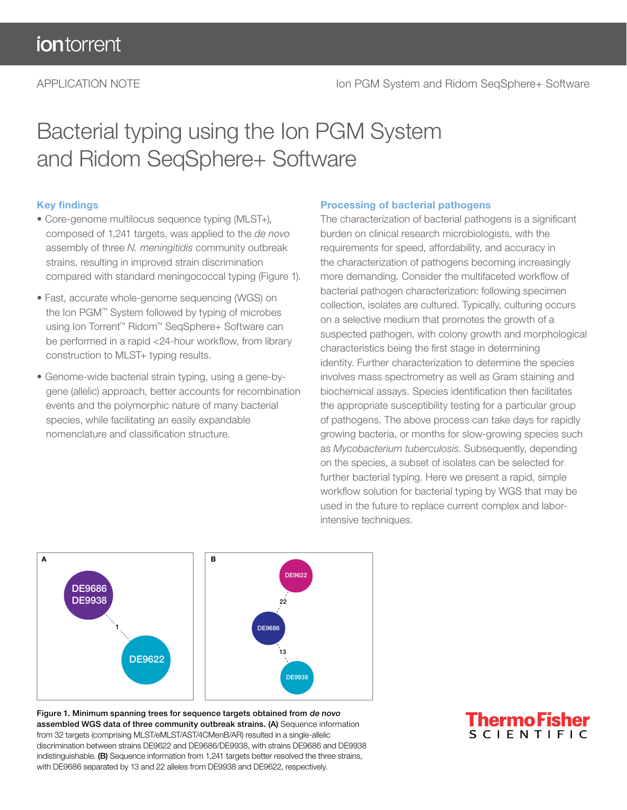## Bacterial typing using the Ion PGM System and Ridom SeqSphere+ Software

### Key findings

- Core-genome multilocus sequence typing (MLST+), composed of 1,241 targets, was applied to the *de novo* assembly of three *N. meningitidis* community outbreak strains, resulting in improved strain discrimination compared with standard meningococcal typing (Figure 1).
- Fast, accurate whole-genome sequencing (WGS) on the Ion PGM™ System followed by typing of microbes using Ion Torrent™ Ridom™ SeqSphere+ Software can be performed in a rapid <24-hour workflow, from library construction to MLST+ typing results.
- Genome-wide bacterial strain typing, using a gene-bygene (allelic) approach, better accounts for recombination events and the polymorphic nature of many bacterial species, while facilitating an easily expandable nomenclature and classification structure.

#### Processing of bacterial pathogens

The characterization of bacterial pathogens is a significant burden on clinical research microbiologists, with the requirements for speed, affordability, and accuracy in the characterization of pathogens becoming increasingly more demanding. Consider the multifaceted workflow of bacterial pathogen characterization: following specimen collection, isolates are cultured. Typically, culturing occurs on a selective medium that promotes the growth of a suspected pathogen, with colony growth and morphological characteristics being the first stage in determining identity. Further characterization to determine the species involves mass spectrometry as well as Gram staining and biochemical assays. Species identification then facilitates the appropriate susceptibility testing for a particular group of pathogens. The above process can take days for rapidly growing bacteria, or months for slow-growing species such as *Mycobacterium tuberculosis*. Subsequently, depending on the species, a subset of isolates can be selected for further bacterial typing. Here we present a rapid, simple workflow solution for bacterial typing by WGS that may be used in the future to replace current complex and laborintensive techniques.



Figure 1. Minimum spanning trees for sequence targets obtained from de novo assembled WGS data of three community outbreak strains. (A) Sequence information from 32 targets (comprising MLST/eMLST/AST/4CMenB/AR) resulted in a single-allelic discrimination between strains DE9622 and DE9686/DE9938, with strains DE9686 and DE9938 indistinguishable. (B) Sequence information from 1,241 targets better resolved the three strains, with DE9686 separated by 13 and 22 alleles from DE9938 and DE9622, respectively.

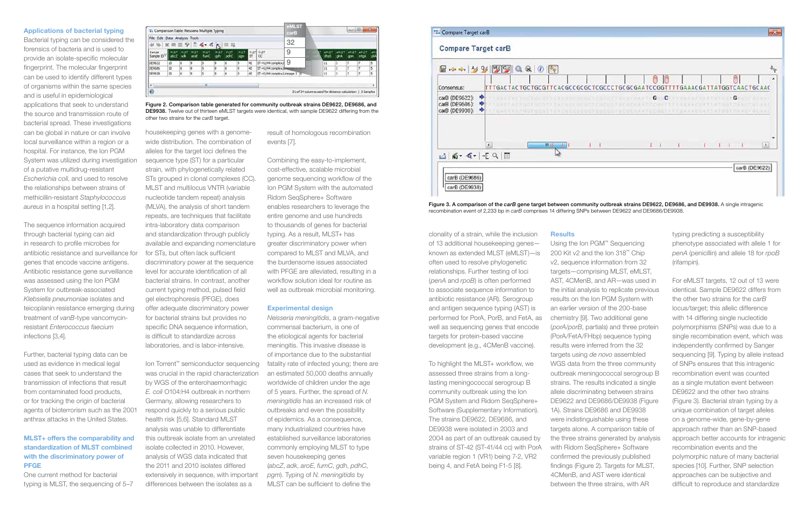#### Applications of bacterial typing

Bacterial typing can be considered the forensics of bacteria and is used to provide an isolate-specific molecular fingerprint. The molecular fingerprint can be used to identify different types of organisms within the same species and is useful in epidemiological applications that seek to understand the source and transmission route of bacterial spread. These investigations can be global in nature or can involve local surveillance within a region or a hospital. For instance, the Ion PGM System was utilized during investigation of a putative multidrug-resistant *Escherichia coli*, and used to resolve the relationships between strains of methicillin-resistant *Staphylococcus aureus* in a hospital setting [1,2].

The sequence information acquired through bacterial typing can aid in research to profile microbes for antibiotic resistance and surveillance for genes that encode vaccine antigens. Antibiotic resistance gene surveillance was assessed using the Ion PGM System for outbreak-associated *Klebsiella pneumoniae* isolates and teicoplanin resistance emerging during treatment of *vanB*-type vancomycinresistant *Enterococcus faecium* infections [3,4].

Further, bacterial typing data can be used as evidence in medical legal cases that seek to understand the transmission of infections that result from contaminated food products, or for tracking the origin of bacterial agents of bioterrorism such as the 2001 anthrax attacks in the United States.

#### MLST+ offers the comparability and standardization of MLST combined with the discriminatory power of PFGE

One current method for bacterial typing is MLST, the sequencing of 5–7

housekeeping genes with a genomewide distribution. The combination of alleles for the target loci defines the sequence type (ST) for a particular strain, with phylogenetically related STs grouped in clonal complexes (CC). MLST and multilocus VNTR (variable nucleotide tandem repeat) analysis (MLVA), the analysis of short tandem repeats, are techniques that facilitate intra-laboratory data comparison and standardization through publicly available and expanding nomenclature for STs, but often lack sufficient discriminatory power at the sequence level for accurate identification of all bacterial strains. In contrast, another current typing method, pulsed field gel electrophoresis (PFGE), does offer adequate discriminatory power for bacterial strains but provides no specific DNA sequence information, is difficult to standardize across laboratories, and is labor-intensive.

Ion Torrent™ semiconductor sequencing was crucial in the rapid characterization by WGS of the enterohaemorrhagic *E. coli* O104:H4 outbreak in northern Germany, allowing researchers to respond quickly to a serious public health risk [5,6]. Standard MLST analysis was unable to differentiate this outbreak isolate from an unrelated isolate collected in 2010. However, analysis of WGS data indicated that the 2011 and 2010 isolates differed extensively in sequence, with important differences between the isolates as a

result of homologous recombination events [7].

Combining the easy-to-implement, cost-effective, scalable microbial genome sequencing workflow of the Ion PGM System with the automated Ridom SeqSphere+ Software enables researchers to leverage the entire genome and use hundreds to thousands of genes for bacterial typing. As a result, MLST+ has greater discriminatory power when compared to MLST and MLVA, and the burdensome issues associated with PFGE are alleviated, resulting in a workflow solution ideal for routine as well as outbreak microbial monitoring.

#### Experimental design



Figure 3. A comparison of the *carB* gene target between community outbreak strains DE9622, DE9686, and DE9938. A single intragenic recombination event of 2,233 bp in *carB* comprises 14 differing SNPs between DE9622 and DE9686/DE9938.

*Neisseria meningitidis*, a gram-negative commensal bacterium, is one of the etiological agents for bacterial meningitis. This invasive disease is of importance due to the substantial fatality rate of infected young; there are an estimated 50,000 deaths annually worldwide of children under the age of 5 years. Further, the spread of *N. meningitidis* has an increased risk of outbreaks and even the possibility of epidemics. As a consequence, many industrialized countries have established surveillance laboratories commonly employing MLST to type seven housekeeping genes (*abcZ*, *adk*, *aroE*, *fumC*, *gdh*, *pdhC*, *pgm*). Typing of *N. meningitidis* by MLST can be sufficient to define the

clonality of a strain, while the inclusion of 13 additional housekeeping genes known as extended MLST (eMLST)—is often used to resolve phylogenetic relationships. Further testing of loci (*penA* and *rpoB*) is often performed to associate sequence information to antibiotic resistance (AR). Serogroup and antigen sequence typing (AST) is performed for PorA, PorB, and FetA, as well as sequencing genes that encode targets for protein-based vaccine development (e.g., 4CMenB vaccine).

To highlight the MLST+ workflow, we assessed three strains from a longlasting meningococcal serogroup B community outbreak using the Ion PGM System and Ridom SeqSphere+ Software (Supplementary Information). The strains DE9622, DE9686, and DE9938 were isolated in 2003 and 2004 as part of an outbreak caused by strains of ST-42 (ST-41/44 cc) with PorA variable region 1 (VR1) being 7-2, VR2 being 4, and FetA being F1-5 [8].

**Results** 

Using the Ion PGM™ Sequencing 200 Kit v2 and the Ion 318™ Chip v2, sequence information from 32 targets—comprising MLST, eMLST, AST, 4CMenB, and AR—was used in the initial analysis to replicate previous results on the Ion PGM System with an earlier version of the 200-base chemistry [9]. Two additional gene (*porA*/*porB*, partials) and three protein (PorA/FetA/FHbp) sequence typing results were inferred from the 32 targets using *de novo* assembled WGS data from the three community outbreak meningococcal serogroup B strains. The results indicated a single allele discriminating between strains DE9622 and DE9686/DE9938 (Figure 1A). Strains DE9686 and DE9938 were indistinguishable using these targets alone. A comparison table of the three strains generated by analysis with Ridom SeqSphere+ Software confirmed the previously published findings (Figure 2). Targets for MLST, 4CMenB, and AST were identical between the three strains, with AR

typing predicting a susceptibility phenotype associated with allele 1 for *penA* (penicillin) and allele 18 for *rpoB* (rifampin).

For eMLST targets, 12 out of 13 were identical. Sample DE9622 differs from the other two strains for the *carB* locus/target; this allelic difference with 14 differing single nucleotide polymorphisms (SNPs) was due to a single recombination event, which was independently confirmed by Sanger sequencing [9]. Typing by allele instead of SNPs ensures that this intragenic recombination event was counted as a single mutation event between DE9622 and the other two strains (Figure 3). Bacterial strain typing by a unique combination of target alleles on a genome-wide, gene-by-gene approach rather than an SNP-based approach better accounts for intragenic recombination events and the polymorphic nature of many bacterial species [10]. Further, SNP selection approaches can be subjective and difficult to reproduce and standardize

| File Edit Data Analysis Tools<br>$-6 - 6$<br>$-$ |    |             |     |                     |             |                     |                    |     |                            | 32 | carB |  |      |                 |     |                                          |                   |
|--------------------------------------------------|----|-------------|-----|---------------------|-------------|---------------------|--------------------|-----|----------------------------|----|------|--|------|-----------------|-----|------------------------------------------|-------------------|
| Sample:<br>Sample ID <sup>V</sup>                |    | <b>MIST</b> |     | <b>NUST</b><br>fumi | <b>MIST</b> | <b>HUST</b><br>panc | <b>HIST</b><br>pon | ST. | MUST MUST<br><b>CC</b>     | 9  |      |  | ೧೯೮೧ | $-0.05$<br>cana | com | $e$ <sup><math>H</math>137</sup><br>mtoA |                   |
| DE9622                                           | 10 |             |     |                     |             |                     |                    | 42  | 57-41/44 complex/l         | 9  |      |  | 11   |                 |     |                                          |                   |
| DE9686                                           | 50 | 6           | ø   |                     |             | 6                   |                    | 42  | ST-41/44 complex/la        |    |      |  | 11   |                 |     |                                          | s                 |
| DE9938                                           | 50 |             | iģ. |                     |             | é.                  |                    | 42  | ST-41/44 complex/Lineage 3 |    |      |  | 11   |                 |     |                                          | <b>STATE</b><br>s |
| ٠                                                |    |             |     | 1,891               |             |                     |                    |     |                            |    |      |  |      |                 |     |                                          |                   |

Figure 2. Comparison table generated for community outbreak strains DE9622, DE9686, and DE9938. Twelve out of thirteen eMLST targets were identical, with sample DE9622 differing from the other two strains for the *carB* target.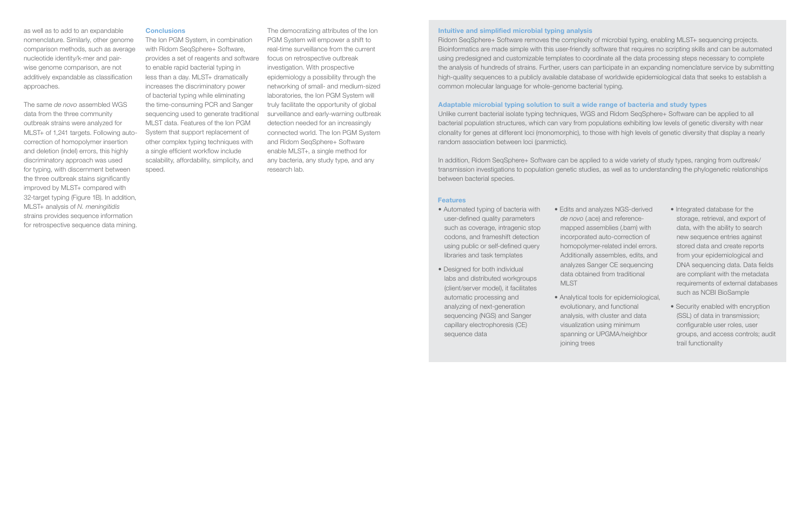as well as to add to an expandable nomenclature. Similarly, other genome comparison methods, such as average nucleotide identity/k-mer and pairwise genome comparison, are not additively expandable as classification approaches.

The same *de novo* assembled WGS data from the three community outbreak strains were analyzed for MLST+ of 1,241 targets. Following autocorrection of homopolymer insertion and deletion (indel) errors, this highly discriminatory approach was used for typing, with discernment between the three outbreak stains significantly improved by MLST+ compared with 32-target typing (Figure 1B). In addition, MLST+ analysis of *N. meningitidis* strains provides sequence information for retrospective sequence data mining.

#### **Conclusions**

The Ion PGM System, in combination with Ridom SeqSphere+ Software, provides a set of reagents and software to enable rapid bacterial typing in less than a day. MLST+ dramatically increases the discriminatory power of bacterial typing while eliminating the time-consuming PCR and Sanger sequencing used to generate traditional MLST data. Features of the Ion PGM System that support replacement of other complex typing techniques with a single efficient workflow include scalability, affordability, simplicity, and speed.

The democratizing attributes of the Ion PGM System will empower a shift to real-time surveillance from the current focus on retrospective outbreak investigation. With prospective epidemiology a possibility through the networking of small- and medium-sized laboratories, the Ion PGM System will truly facilitate the opportunity of global surveillance and early-warning outbreak detection needed for an increasingly connected world. The Ion PGM System and Ridom SeqSphere+ Software enable MLST+, a single method for any bacteria, any study type, and any research lab.

#### Intuitive and simplified microbial typing analysis

Ridom SeqSphere+ Software removes the complexity of microbial typing, enabling MLST+ sequencing projects. Bioinformatics are made simple with this user-friendly software that requires no scripting skills and can be automated using predesigned and customizable templates to coordinate all the data processing steps necessary to complete the analysis of hundreds of strains. Further, users can participate in an expanding nomenclature service by submitting high-quality sequences to a publicly available database of worldwide epidemiological data that seeks to establish a common molecular language for whole-genome bacterial typing.

#### Adaptable microbial typing solution to suit a wide range of bacteria and study types

Unlike current bacterial isolate typing techniques, WGS and Ridom SeqSphere+ Software can be applied to all bacterial population structures, which can vary from populations exhibiting low levels of genetic diversity with near clonality for genes at different loci (monomorphic), to those with high levels of genetic diversity that display a nearly random association between loci (panmictic).

In addition, Ridom SeqSphere+ Software can be applied to a wide variety of study types, ranging from outbreak/ transmission investigations to population genetic studies, as well as to understanding the phylogenetic relationships between bacterial species.

#### **Features**

- Automated typing of bacteria with user-defined quality parameters such as coverage, intragenic stop codons, and frameshift detection using public or self-defined query libraries and task templates
- Designed for both individual labs and distributed workgroups (client/server model), it facilitates automatic processing and analyzing of next-generation sequencing (NGS) and Sanger capillary electrophoresis (CE) sequence data
- MLST
- joining trees

• Edits and analyzes NGS-derived *de novo* (.ace) and referencemapped assemblies (.bam) with incorporated auto-correction of homopolymer-related indel errors. Additionally assembles, edits, and analyzes Sanger CE sequencing data obtained from traditional

• Analytical tools for epidemiological, evolutionary, and functional analysis, with cluster and data visualization using minimum spanning or UPGMA/neighbor

- Integrated database for the storage, retrieval, and export of data, with the ability to search new sequence entries against stored data and create reports from your epidemiological and DNA sequencing data. Data fields are compliant with the metadata requirements of external databases such as NCBI BioSample
- Security enabled with encryption (SSL) of data in transmission; configurable user roles, user groups, and access controls; audit trail functionality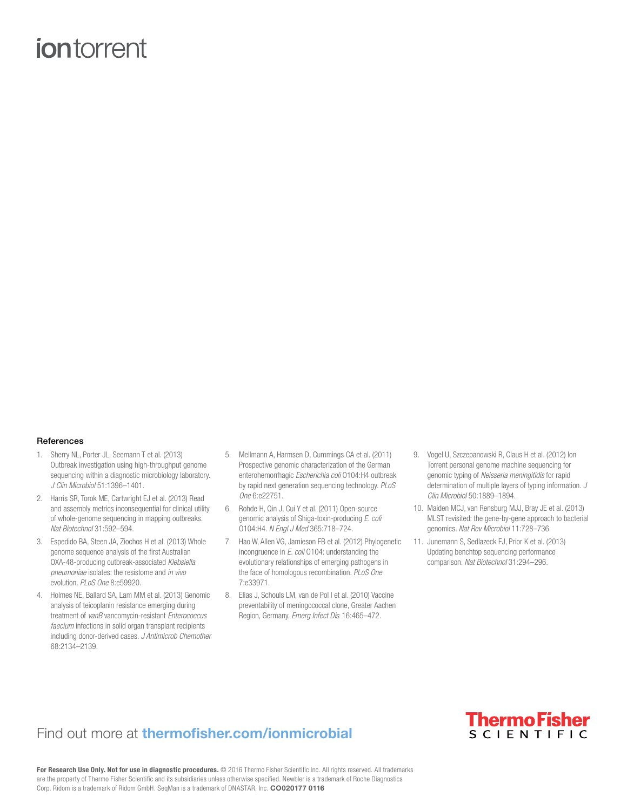# **ion** torrent

#### References

- 1. Sherry NL, Porter JL, Seemann T et al. (2013) Outbreak investigation using high-throughput genome sequencing within a diagnostic microbiology laboratory. *J Clin Microbiol* 51:1396–1401.
- 2. Harris SR, Torok ME, Cartwright EJ et al. (2013) Read and assembly metrics inconsequential for clinical utility of whole-genome sequencing in mapping outbreaks. *Nat Biotechnol* 31:592–594.
- 3. Espedido BA, Steen JA, Ziochos H et al. (2013) Whole genome sequence analysis of the first Australian OXA-48-producing outbreak-associated *Klebsiella pneumoniae* isolates: the resistome and *in vivo* evolution. *PLoS One* 8:e59920.
- 4. Holmes NE, Ballard SA, Lam MM et al. (2013) Genomic analysis of teicoplanin resistance emerging during treatment of *vanB* vancomycin-resistant *Enterococcus faecium* infections in solid organ transplant recipients including donor-derived cases. *J Antimicrob Chemother* 68:2134–2139.
- 5. Mellmann A, Harmsen D, Cummings CA et al. (2011) Prospective genomic characterization of the German enterohemorrhagic *Escherichia coli* O104:H4 outbreak by rapid next generation sequencing technology. *PLoS One* 6:e22751.
- 6. Rohde H, Qin J, Cui Y et al. (2011) Open-source genomic analysis of Shiga-toxin-producing *E. coli* O104:H4. *N Engl J Med* 365:718–724.
- 7. Hao W, Allen VG, Jamieson FB et al. (2012) Phylogenetic incongruence in *E. coli* O104: understanding the evolutionary relationships of emerging pathogens in the face of homologous recombination. *PLoS One* 7:e33971.
- 8. Elias J, Schouls LM, van de Pol I et al. (2010) Vaccine preventability of meningococcal clone, Greater Aachen Region, Germany. *Emerg Infect Dis* 16:465–472.
- 9. Vogel U, Szczepanowski R, Claus H et al. (2012) Ion Torrent personal genome machine sequencing for genomic typing of *Neisseria meningitidis* for rapid determination of multiple layers of typing information. *J Clin Microbiol* 50:1889–1894.
- 10. Maiden MCJ, van Rensburg MJJ, Bray JE et al. (2013) MLST revisited: the gene-by-gene approach to bacterial genomics. *Nat Rev Microbiol* 11:728–736.
- 11. Junemann S, Sedlazeck FJ, Prior K et al. (2013) Updating benchtop sequencing performance comparison. *Nat Biotechnol* 31:294–296.

### Find out more at **thermofisher.com/ionmicrobial**



For Research Use Only. Not for use in diagnostic procedures. © 2016 Thermo Fisher Scientific Inc. All rights reserved. All trademarks are the property of Thermo Fisher Scientific and its subsidiaries unless otherwise specified. Newbler is a trademark of Roche Diagnostics Corp. Ridom is a trademark of Ridom GmbH. SeqMan is a trademark of DNASTAR, Inc. CO020177 0116